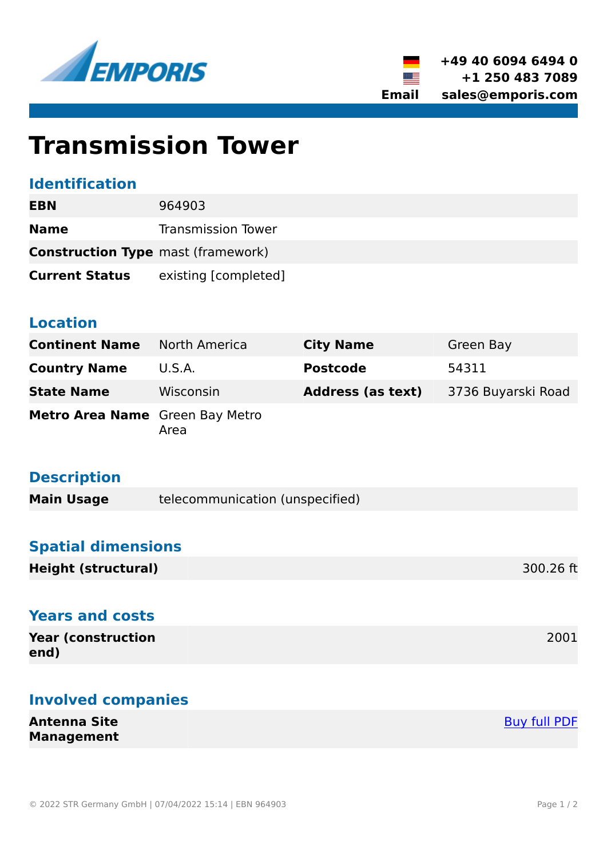



# **Transmission Tower**

### **Identification**

| EBN                                       | 964903                    |
|-------------------------------------------|---------------------------|
| <b>Name</b>                               | <b>Transmission Tower</b> |
| <b>Construction Type</b> mast (framework) |                           |
| <b>Current Status</b>                     | existing [completed]      |

### **Location**

| <b>Continent Name</b>           | <b>North America</b> | <b>City Name</b>         | Green Bay          |
|---------------------------------|----------------------|--------------------------|--------------------|
| <b>Country Name</b>             | U.S.A.               | <b>Postcode</b>          | 54311              |
| <b>State Name</b>               | Wisconsin            | <b>Address (as text)</b> | 3736 Buyarski Road |
| Metro Area Name Green Bay Metro | Area                 |                          |                    |

# **Description**

| <b>Main Usage</b> | telecommunication (unspecified) |
|-------------------|---------------------------------|
|-------------------|---------------------------------|

## **Spatial dimensions**

| <b>Height (structural)</b> | 300.26 ft |
|----------------------------|-----------|
|----------------------------|-----------|

## **Years and costs**

| <b>Year (construction)</b> | 2001 |
|----------------------------|------|
| end)                       |      |

# **Involved companies**

**Antenna Site Management** [Buy full PDF](https://www.emporis.com/buildings/964903/transmission-tower-green-bay-wi-usa?buypdf=)